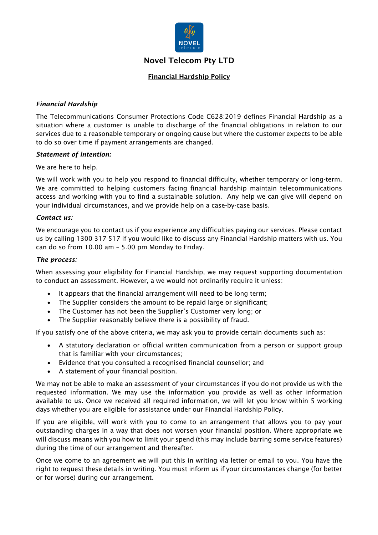

# Novel Telecom Pty LTD

# Financial Hardship Policy

## *Financial Hardship*

The Telecommunications Consumer Protections Code C628:2019 defines Financial Hardship as a situation where a customer is unable to discharge of the financial obligations in relation to our services due to a reasonable temporary or ongoing cause but where the customer expects to be able to do so over time if payment arrangements are changed.

#### *Statement of intention:*

We are here to help.

We will work with you to help you respond to financial difficulty, whether temporary or long-term. We are committed to helping customers facing financial hardship maintain telecommunications access and working with you to find a sustainable solution. Any help we can give will depend on your individual circumstances, and we provide help on a case-by-case basis.

#### *Contact us:*

We encourage you to contact us if you experience any difficulties paying our services. Please contact us by calling 1300 317 517 if you would like to discuss any Financial Hardship matters with us. You can do so from 10.00 am – 5.00 pm Monday to Friday.

#### *The process:*

When assessing your eligibility for Financial Hardship, we may request supporting documentation to conduct an assessment. However, a we would not ordinarily require it unless:

- It appears that the financial arrangement will need to be long term;
- The Supplier considers the amount to be repaid large or significant;
- The Customer has not been the Supplier's Customer very long; or
- The Supplier reasonably believe there is a possibility of fraud.

If you satisfy one of the above criteria, we may ask you to provide certain documents such as:

- A statutory declaration or official written communication from a person or support group that is familiar with your circumstances;
- Evidence that you consulted a recognised financial counsellor; and
- A statement of your financial position.

We may not be able to make an assessment of your circumstances if you do not provide us with the requested information. We may use the information you provide as well as other information available to us. Once we received all required information, we will let you know within 5 working days whether you are eligible for assistance under our Financial Hardship Policy.

If you are eligible, will work with you to come to an arrangement that allows you to pay your outstanding charges in a way that does not worsen your financial position. Where appropriate we will discuss means with you how to limit your spend (this may include barring some service features) during the time of our arrangement and thereafter.

Once we come to an agreement we will put this in writing via letter or email to you. You have the right to request these details in writing. You must inform us if your circumstances change (for better or for worse) during our arrangement.